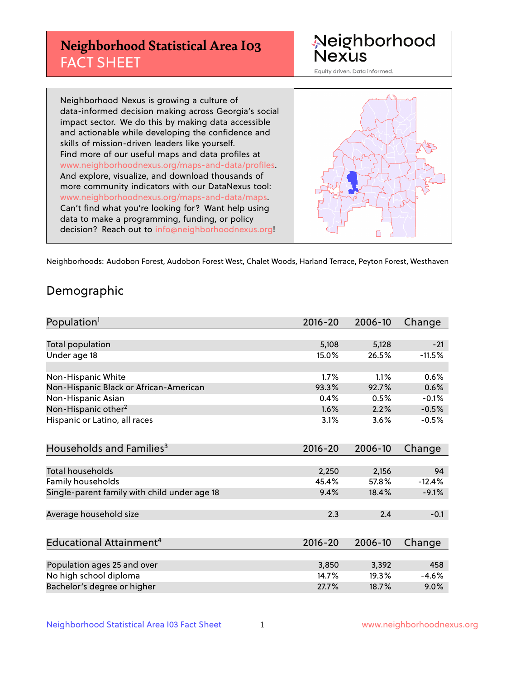## **Neighborhood Statistical Area I03** FACT SHEET



Equity driven. Data informed.

Neighborhood Nexus is growing a culture of data-informed decision making across Georgia's social impact sector. We do this by making data accessible and actionable while developing the confidence and skills of mission-driven leaders like yourself. Find more of our useful maps and data profiles at www.neighborhoodnexus.org/maps-and-data/profiles. And explore, visualize, and download thousands of more community indicators with our DataNexus tool: www.neighborhoodnexus.org/maps-and-data/maps. Can't find what you're looking for? Want help using data to make a programming, funding, or policy decision? Reach out to [info@neighborhoodnexus.org!](mailto:info@neighborhoodnexus.org)



Neighborhoods: Audobon Forest, Audobon Forest West, Chalet Woods, Harland Terrace, Peyton Forest, Westhaven

### Demographic

| Population <sup>1</sup>                      | $2016 - 20$ | 2006-10 | Change   |
|----------------------------------------------|-------------|---------|----------|
|                                              |             |         |          |
| Total population                             | 5,108       | 5,128   | $-21$    |
| Under age 18                                 | 15.0%       | 26.5%   | $-11.5%$ |
|                                              |             |         |          |
| Non-Hispanic White                           | 1.7%        | 1.1%    | 0.6%     |
| Non-Hispanic Black or African-American       | 93.3%       | 92.7%   | 0.6%     |
| Non-Hispanic Asian                           | 0.4%        | 0.5%    | $-0.1%$  |
| Non-Hispanic other <sup>2</sup>              | 1.6%        | 2.2%    | $-0.5%$  |
| Hispanic or Latino, all races                | 3.1%        | 3.6%    | $-0.5%$  |
|                                              |             |         |          |
| Households and Families <sup>3</sup>         | $2016 - 20$ | 2006-10 | Change   |
|                                              |             |         |          |
| Total households                             | 2,250       | 2,156   | 94       |
| Family households                            | 45.4%       | 57.8%   | $-12.4%$ |
| Single-parent family with child under age 18 | 9.4%        | 18.4%   | $-9.1%$  |
|                                              |             |         |          |
| Average household size                       | 2.3         | 2.4     | $-0.1$   |
|                                              |             |         |          |
| Educational Attainment <sup>4</sup>          | $2016 - 20$ | 2006-10 | Change   |
|                                              |             |         |          |
| Population ages 25 and over                  | 3,850       | 3,392   | 458      |
| No high school diploma                       | 14.7%       | 19.3%   | $-4.6%$  |
| Bachelor's degree or higher                  | 27.7%       | 18.7%   | $9.0\%$  |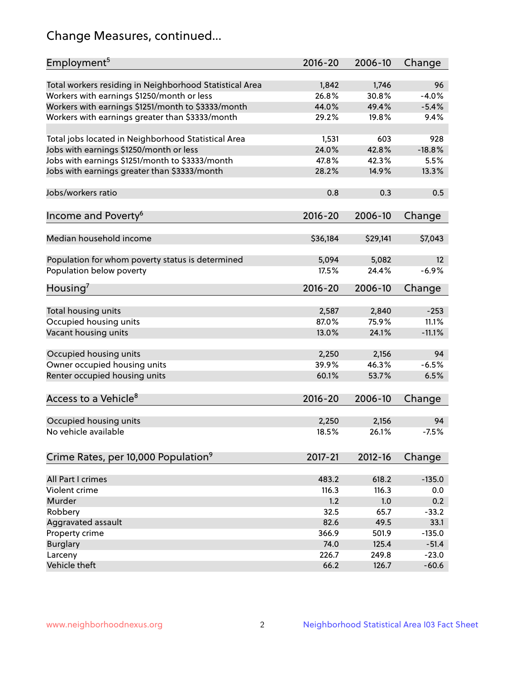## Change Measures, continued...

| Employment <sup>5</sup>                                 | $2016 - 20$    | 2006-10        | Change        |
|---------------------------------------------------------|----------------|----------------|---------------|
|                                                         |                |                |               |
| Total workers residing in Neighborhood Statistical Area | 1,842<br>26.8% | 1,746<br>30.8% | 96<br>$-4.0%$ |
| Workers with earnings \$1250/month or less              | 44.0%          | 49.4%          | $-5.4%$       |
| Workers with earnings \$1251/month to \$3333/month      | 29.2%          | 19.8%          | 9.4%          |
| Workers with earnings greater than \$3333/month         |                |                |               |
| Total jobs located in Neighborhood Statistical Area     | 1,531          | 603            | 928           |
| Jobs with earnings \$1250/month or less                 | 24.0%          | 42.8%          | $-18.8%$      |
| Jobs with earnings \$1251/month to \$3333/month         | 47.8%          | 42.3%          | 5.5%          |
| Jobs with earnings greater than \$3333/month            | 28.2%          | 14.9%          | 13.3%         |
|                                                         |                |                |               |
| Jobs/workers ratio                                      | 0.8            | 0.3            | 0.5           |
|                                                         |                |                |               |
| Income and Poverty <sup>6</sup>                         | 2016-20        | 2006-10        | Change        |
|                                                         |                |                |               |
| Median household income                                 | \$36,184       | \$29,141       | \$7,043       |
|                                                         |                |                |               |
| Population for whom poverty status is determined        | 5,094          | 5,082          | 12            |
| Population below poverty                                | 17.5%          | 24.4%          | $-6.9%$       |
|                                                         |                |                |               |
| Housing <sup>7</sup>                                    | $2016 - 20$    | 2006-10        | Change        |
|                                                         |                |                |               |
| Total housing units                                     | 2,587          | 2,840          | $-253$        |
| Occupied housing units                                  | 87.0%          | 75.9%          | 11.1%         |
| Vacant housing units                                    | 13.0%          | 24.1%          | $-11.1%$      |
|                                                         |                |                |               |
| Occupied housing units                                  | 2,250          | 2,156          | 94            |
| Owner occupied housing units                            | 39.9%          | 46.3%          | $-6.5%$       |
| Renter occupied housing units                           | 60.1%          | 53.7%          | 6.5%          |
|                                                         |                |                |               |
| Access to a Vehicle <sup>8</sup>                        | $2016 - 20$    | 2006-10        | Change        |
|                                                         |                |                |               |
| Occupied housing units                                  | 2,250          | 2,156          | 94            |
| No vehicle available                                    | 18.5%          | 26.1%          | $-7.5%$       |
|                                                         |                |                |               |
| Crime Rates, per 10,000 Population <sup>9</sup>         | 2017-21        | 2012-16        | Change        |
|                                                         |                |                |               |
| All Part I crimes                                       | 483.2          | 618.2          | $-135.0$      |
| Violent crime                                           | 116.3          | 116.3          | 0.0           |
| Murder                                                  | 1.2            | 1.0            | 0.2           |
| Robbery                                                 | 32.5           | 65.7           | $-33.2$       |
| Aggravated assault                                      | 82.6           | 49.5           | 33.1          |
| Property crime                                          | 366.9          | 501.9          | $-135.0$      |
| <b>Burglary</b>                                         | 74.0           | 125.4          | $-51.4$       |
| Larceny                                                 | 226.7          | 249.8          | $-23.0$       |
| Vehicle theft                                           | 66.2           | 126.7          | $-60.6$       |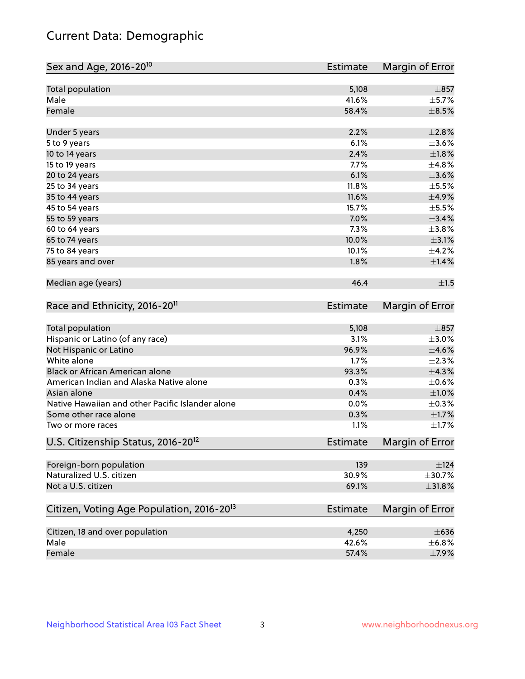## Current Data: Demographic

| Sex and Age, 2016-20 <sup>10</sup>                    | <b>Estimate</b> | Margin of Error |
|-------------------------------------------------------|-----------------|-----------------|
| Total population                                      | 5,108           | $\pm 857$       |
| Male                                                  | 41.6%           | $\pm$ 5.7%      |
| Female                                                | 58.4%           | $\pm$ 8.5%      |
| Under 5 years                                         | 2.2%            | $\pm 2.8\%$     |
| 5 to 9 years                                          | 6.1%            | $\pm 3.6\%$     |
| 10 to 14 years                                        | 2.4%            | $\pm1.8\%$      |
| 15 to 19 years                                        | 7.7%            | ±4.8%           |
| 20 to 24 years                                        | 6.1%            | $\pm 3.6\%$     |
| 25 to 34 years                                        | 11.8%           | $\pm$ 5.5%      |
| 35 to 44 years                                        | 11.6%           | $\pm$ 4.9%      |
| 45 to 54 years                                        | 15.7%           | $\pm$ 5.5%      |
| 55 to 59 years                                        | 7.0%            | $\pm$ 3.4%      |
| 60 to 64 years                                        | 7.3%            | $\pm$ 3.8%      |
| 65 to 74 years                                        | 10.0%           | $\pm 3.1\%$     |
| 75 to 84 years                                        | 10.1%           | $\pm$ 4.2%      |
| 85 years and over                                     | 1.8%            | ±1.4%           |
| Median age (years)                                    | 46.4            | ±1.5            |
| Race and Ethnicity, 2016-20 <sup>11</sup>             | <b>Estimate</b> | Margin of Error |
| <b>Total population</b>                               | 5,108           | $\pm$ 857       |
| Hispanic or Latino (of any race)                      | 3.1%            | $\pm 3.0\%$     |
| Not Hispanic or Latino                                | 96.9%           | $\pm 4.6\%$     |
| White alone                                           | 1.7%            | $\pm 2.3\%$     |
| Black or African American alone                       | 93.3%           | ±4.3%           |
| American Indian and Alaska Native alone               | 0.3%            | $\pm$ 0.6%      |
| Asian alone                                           | 0.4%            | $\pm 1.0\%$     |
| Native Hawaiian and other Pacific Islander alone      | 0.0%            | $\pm$ 0.3%      |
| Some other race alone                                 | 0.3%            | $\pm1.7\%$      |
| Two or more races                                     | 1.1%            | $\pm$ 1.7%      |
| U.S. Citizenship Status, 2016-20 <sup>12</sup>        | Estimate        | Margin of Error |
| Foreign-born population                               | 139             | ±124            |
| Naturalized U.S. citizen                              | 30.9%           | $\pm$ 30.7%     |
| Not a U.S. citizen                                    | 69.1%           | $\pm$ 31.8%     |
| Citizen, Voting Age Population, 2016-20 <sup>13</sup> | <b>Estimate</b> | Margin of Error |
| Citizen, 18 and over population                       | 4,250           | $\pm 636$       |
| Male                                                  | 42.6%           | ±6.8%           |
| Female                                                | 57.4%           | $\pm$ 7.9%      |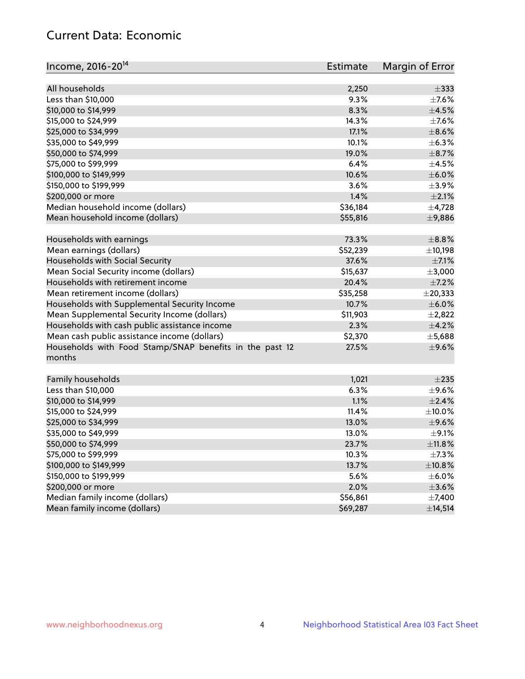## Current Data: Economic

| Income, 2016-20 <sup>14</sup>                           | <b>Estimate</b> | Margin of Error |
|---------------------------------------------------------|-----------------|-----------------|
| All households                                          | 2,250           | $\pm$ 333       |
| Less than \$10,000                                      | 9.3%            | $\pm$ 7.6%      |
| \$10,000 to \$14,999                                    | 8.3%            | $\pm$ 4.5%      |
|                                                         | 14.3%           |                 |
| \$15,000 to \$24,999                                    |                 | $\pm$ 7.6%      |
| \$25,000 to \$34,999                                    | 17.1%           | $\pm$ 8.6%      |
| \$35,000 to \$49,999                                    | 10.1%           | $\pm$ 6.3%      |
| \$50,000 to \$74,999                                    | 19.0%           | $\pm$ 8.7%      |
| \$75,000 to \$99,999                                    | 6.4%            | $\pm$ 4.5%      |
| \$100,000 to \$149,999                                  | 10.6%           | $\pm$ 6.0%      |
| \$150,000 to \$199,999                                  | 3.6%            | $\pm$ 3.9%      |
| \$200,000 or more                                       | 1.4%            | $\pm 2.1\%$     |
| Median household income (dollars)                       | \$36,184        | $\pm$ 4,728     |
| Mean household income (dollars)                         | \$55,816        | ±9,886          |
| Households with earnings                                | 73.3%           | $\pm$ 8.8%      |
| Mean earnings (dollars)                                 | \$52,239        | ±10,198         |
| Households with Social Security                         | 37.6%           | $\pm$ 7.1%      |
| Mean Social Security income (dollars)                   | \$15,637        | $\pm$ 3,000     |
| Households with retirement income                       | 20.4%           | $\pm$ 7.2%      |
| Mean retirement income (dollars)                        | \$35,258        | $±$ 20,333      |
| Households with Supplemental Security Income            | 10.7%           | $\pm$ 6.0%      |
| Mean Supplemental Security Income (dollars)             | \$11,903        | $\pm 2,822$     |
| Households with cash public assistance income           | 2.3%            | ±4.2%           |
| Mean cash public assistance income (dollars)            | \$2,370         | ±5,688          |
| Households with Food Stamp/SNAP benefits in the past 12 | 27.5%           | $\pm$ 9.6%      |
| months                                                  |                 |                 |
| Family households                                       |                 | $\pm 235$       |
|                                                         | 1,021<br>6.3%   | $\pm$ 9.6%      |
| Less than \$10,000                                      |                 |                 |
| \$10,000 to \$14,999                                    | 1.1%<br>11.4%   | $\pm 2.4\%$     |
| \$15,000 to \$24,999                                    |                 | $\pm$ 10.0%     |
| \$25,000 to \$34,999                                    | 13.0%           | $\pm$ 9.6%      |
| \$35,000 to \$49,999                                    | 13.0%           | $\pm$ 9.1%      |
| \$50,000 to \$74,999                                    | 23.7%           | ±11.8%          |
| \$75,000 to \$99,999                                    | 10.3%           | $\pm$ 7.3%      |
| \$100,000 to \$149,999                                  | 13.7%           | ±10.8%          |
| \$150,000 to \$199,999                                  | 5.6%            | $\pm$ 6.0%      |
| \$200,000 or more                                       | 2.0%            | $\pm 3.6\%$     |
| Median family income (dollars)                          | \$56,861        | $\pm$ 7,400     |
| Mean family income (dollars)                            | \$69,287        | ±14,514         |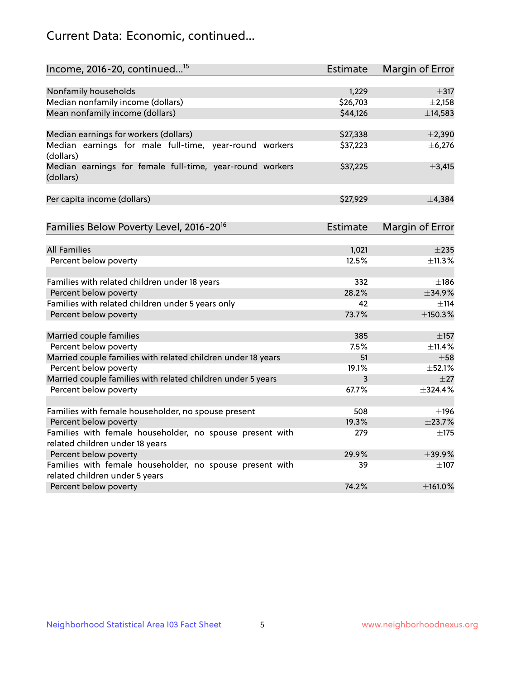## Current Data: Economic, continued...

| Income, 2016-20, continued <sup>15</sup>                                                    | <b>Estimate</b>   | Margin of Error        |
|---------------------------------------------------------------------------------------------|-------------------|------------------------|
|                                                                                             |                   |                        |
| Nonfamily households                                                                        | 1,229<br>\$26,703 | $\pm$ 317              |
| Median nonfamily income (dollars)                                                           |                   | $\pm 2,158$            |
| Mean nonfamily income (dollars)                                                             | \$44,126          | ±14,583                |
| Median earnings for workers (dollars)                                                       | \$27,338          | $\pm 2,390$            |
| Median earnings for male full-time, year-round workers<br>(dollars)                         | \$37,223          | ± 6,276                |
| Median earnings for female full-time, year-round workers<br>(dollars)                       | \$37,225          | $\pm$ 3,415            |
| Per capita income (dollars)                                                                 | \$27,929          | ±4,384                 |
| Families Below Poverty Level, 2016-20 <sup>16</sup>                                         | <b>Estimate</b>   | <b>Margin of Error</b> |
|                                                                                             |                   |                        |
| <b>All Families</b>                                                                         | 1,021             | $\pm 235$              |
| Percent below poverty                                                                       | 12.5%             | ±11.3%                 |
| Families with related children under 18 years                                               | 332               | $\pm$ 186              |
| Percent below poverty                                                                       | 28.2%             | ±34.9%                 |
| Families with related children under 5 years only                                           | 42                | $+114$                 |
| Percent below poverty                                                                       | 73.7%             | ±150.3%                |
| Married couple families                                                                     | 385               | $\pm$ 157              |
| Percent below poverty                                                                       | 7.5%              | $+11.4%$               |
| Married couple families with related children under 18 years                                | 51                | $\pm$ 58               |
| Percent below poverty                                                                       | 19.1%             | $\pm$ 52.1%            |
| Married couple families with related children under 5 years                                 | 3                 | $+27$                  |
| Percent below poverty                                                                       | 67.7%             | ±324.4%                |
|                                                                                             |                   |                        |
| Families with female householder, no spouse present                                         | 508               | $\pm$ 196              |
| Percent below poverty                                                                       | 19.3%             | ±23.7%                 |
| Families with female householder, no spouse present with<br>related children under 18 years | 279               | $\pm$ 175              |
| Percent below poverty                                                                       | 29.9%             | ±39.9%                 |
| Families with female householder, no spouse present with                                    | 39                | $\pm 107$              |
| related children under 5 years                                                              |                   |                        |
| Percent below poverty                                                                       | 74.2%             | ±161.0%                |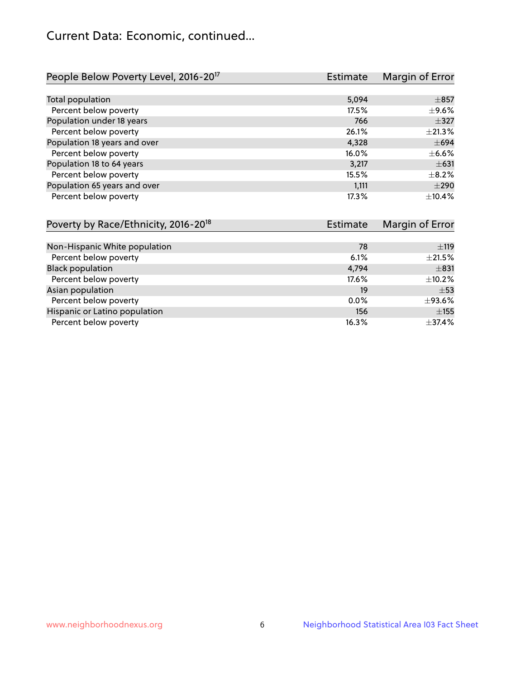## Current Data: Economic, continued...

| People Below Poverty Level, 2016-20 <sup>17</sup> | <b>Estimate</b> | Margin of Error |
|---------------------------------------------------|-----------------|-----------------|
|                                                   |                 |                 |
| Total population                                  | 5,094           | $\pm$ 857       |
| Percent below poverty                             | 17.5%           | $\pm$ 9.6%      |
| Population under 18 years                         | 766             | $\pm$ 327       |
| Percent below poverty                             | 26.1%           | $\pm 21.3\%$    |
| Population 18 years and over                      | 4,328           | $\pm 694$       |
| Percent below poverty                             | 16.0%           | $\pm$ 6.6%      |
| Population 18 to 64 years                         | 3,217           | $\pm 631$       |
| Percent below poverty                             | 15.5%           | $\pm$ 8.2%      |
| Population 65 years and over                      | 1,111           | $\pm 290$       |
| Percent below poverty                             | 17.3%           | ±10.4%          |

| Poverty by Race/Ethnicity, 2016-20 <sup>18</sup> | <b>Estimate</b> |              |
|--------------------------------------------------|-----------------|--------------|
|                                                  |                 |              |
| Non-Hispanic White population                    | 78              | ±119         |
| Percent below poverty                            | 6.1%            | $\pm 21.5\%$ |
| <b>Black population</b>                          | 4,794           | $\pm$ 831    |
| Percent below poverty                            | 17.6%           | $\pm$ 10.2%  |
| Asian population                                 | 19              | $\pm$ 53     |
| Percent below poverty                            | $0.0\%$         | $\pm$ 93.6%  |
| Hispanic or Latino population                    | 156             | $\pm$ 155    |
| Percent below poverty                            | 16.3%           | ±37.4%       |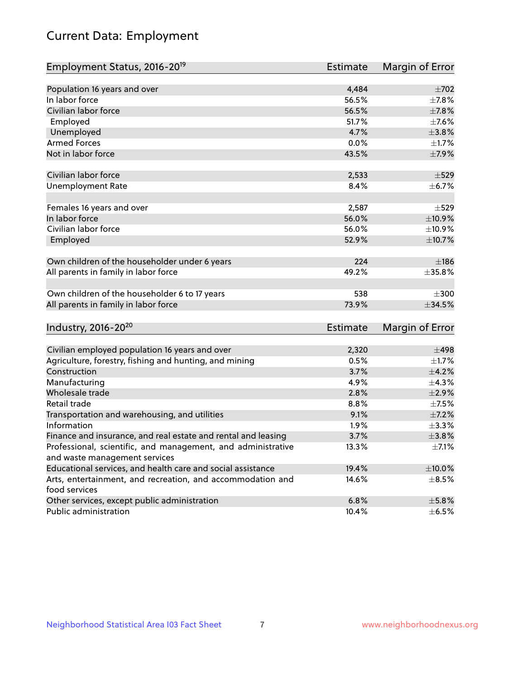# Current Data: Employment

| Employment Status, 2016-20 <sup>19</sup>                      | <b>Estimate</b> | Margin of Error |
|---------------------------------------------------------------|-----------------|-----------------|
|                                                               |                 |                 |
| Population 16 years and over                                  | 4,484           | $\pm 702$       |
| In labor force                                                | 56.5%           | $\pm$ 7.8%      |
| Civilian labor force                                          | 56.5%           | $\pm$ 7.8%      |
| Employed                                                      | 51.7%           | $\pm$ 7.6%      |
| Unemployed                                                    | 4.7%            | ±3.8%           |
| <b>Armed Forces</b>                                           | 0.0%            | $\pm1.7\%$      |
| Not in labor force                                            | 43.5%           | $\pm$ 7.9%      |
| Civilian labor force                                          | 2,533           | $\pm$ 529       |
| <b>Unemployment Rate</b>                                      | 8.4%            | $\pm$ 6.7%      |
| Females 16 years and over                                     | 2,587           | $\pm$ 529       |
| In labor force                                                | 56.0%           | ±10.9%          |
| Civilian labor force                                          | 56.0%           | ±10.9%          |
|                                                               | 52.9%           |                 |
| Employed                                                      |                 | $\pm$ 10.7%     |
| Own children of the householder under 6 years                 | 224             | ±186            |
| All parents in family in labor force                          | 49.2%           | ±35.8%          |
|                                                               |                 |                 |
| Own children of the householder 6 to 17 years                 | 538             | $\pm 300$       |
| All parents in family in labor force                          | 73.9%           | $\pm$ 34.5%     |
| Industry, 2016-20 <sup>20</sup>                               | <b>Estimate</b> | Margin of Error |
|                                                               |                 |                 |
| Civilian employed population 16 years and over                | 2,320           | $\pm 498$       |
| Agriculture, forestry, fishing and hunting, and mining        | 0.5%            | $\pm 1.7\%$     |
| Construction                                                  | 3.7%            | $\pm$ 4.2%      |
| Manufacturing                                                 | 4.9%            | ±4.3%           |
| Wholesale trade                                               | 2.8%            | $\pm 2.9\%$     |
| Retail trade                                                  | 8.8%            | $\pm$ 7.5%      |
| Transportation and warehousing, and utilities                 | 9.1%            | $\pm$ 7.2%      |
| Information                                                   | 1.9%            | $\pm$ 3.3%      |
| Finance and insurance, and real estate and rental and leasing | 3.7%            | ±3.8%           |
| Professional, scientific, and management, and administrative  | 13.3%           | $\pm$ 7.1%      |
| and waste management services                                 |                 |                 |
| Educational services, and health care and social assistance   | 19.4%           | $\pm$ 10.0%     |
| Arts, entertainment, and recreation, and accommodation and    | 14.6%           | $\pm$ 8.5%      |
| food services                                                 |                 |                 |
| Other services, except public administration                  | 6.8%            | $\pm$ 5.8%      |
| Public administration                                         | 10.4%           | $\pm$ 6.5%      |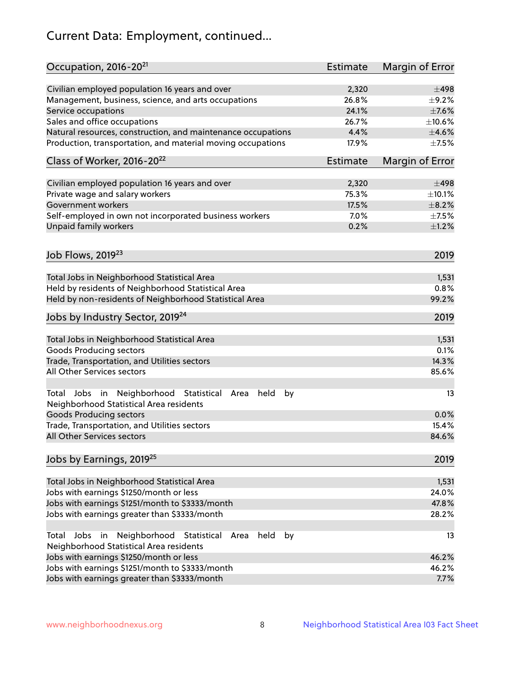# Current Data: Employment, continued...

| Occupation, 2016-20 <sup>21</sup>                                                                       | Estimate | Margin of Error |
|---------------------------------------------------------------------------------------------------------|----------|-----------------|
| Civilian employed population 16 years and over                                                          | 2,320    | $\pm$ 498       |
| Management, business, science, and arts occupations                                                     | 26.8%    | $\pm$ 9.2%      |
| Service occupations                                                                                     | 24.1%    | $\pm$ 7.6%      |
| Sales and office occupations                                                                            | 26.7%    | ±10.6%          |
| Natural resources, construction, and maintenance occupations                                            | 4.4%     | $\pm 4.6\%$     |
| Production, transportation, and material moving occupations                                             | 17.9%    | $\pm$ 7.5%      |
| Class of Worker, 2016-20 <sup>22</sup>                                                                  | Estimate | Margin of Error |
| Civilian employed population 16 years and over                                                          | 2,320    | ±498            |
| Private wage and salary workers                                                                         | 75.3%    | ±10.1%          |
| Government workers                                                                                      | 17.5%    | $\pm$ 8.2%      |
| Self-employed in own not incorporated business workers                                                  | 7.0%     | $\pm$ 7.5%      |
| Unpaid family workers                                                                                   | 0.2%     | $\pm 1.2\%$     |
|                                                                                                         |          |                 |
| Job Flows, 2019 <sup>23</sup>                                                                           |          | 2019            |
| Total Jobs in Neighborhood Statistical Area                                                             |          | 1,531           |
| Held by residents of Neighborhood Statistical Area                                                      |          | 0.8%            |
| Held by non-residents of Neighborhood Statistical Area                                                  |          | 99.2%           |
| Jobs by Industry Sector, 2019 <sup>24</sup>                                                             |          | 2019            |
| Total Jobs in Neighborhood Statistical Area                                                             |          | 1,531           |
| <b>Goods Producing sectors</b>                                                                          |          | 0.1%            |
| Trade, Transportation, and Utilities sectors                                                            |          | 14.3%           |
| All Other Services sectors                                                                              |          | 85.6%           |
| Total Jobs in Neighborhood Statistical<br>held<br>by<br>Area<br>Neighborhood Statistical Area residents |          | 13              |
| <b>Goods Producing sectors</b>                                                                          |          | 0.0%            |
| Trade, Transportation, and Utilities sectors                                                            |          | 15.4%           |
| All Other Services sectors                                                                              |          | 84.6%           |
| Jobs by Earnings, 2019 <sup>25</sup>                                                                    |          | 2019            |
| Total Jobs in Neighborhood Statistical Area                                                             |          | 1,531           |
| Jobs with earnings \$1250/month or less                                                                 |          | 24.0%           |
| Jobs with earnings \$1251/month to \$3333/month                                                         |          | 47.8%           |
| Jobs with earnings greater than \$3333/month                                                            |          | 28.2%           |
| Neighborhood Statistical<br>Jobs<br>in<br>held<br>by<br>Total<br>Area                                   |          | 13              |
| Neighborhood Statistical Area residents                                                                 |          |                 |
| Jobs with earnings \$1250/month or less                                                                 |          | 46.2%           |
| Jobs with earnings \$1251/month to \$3333/month                                                         |          | 46.2%           |
| Jobs with earnings greater than \$3333/month                                                            |          | 7.7%            |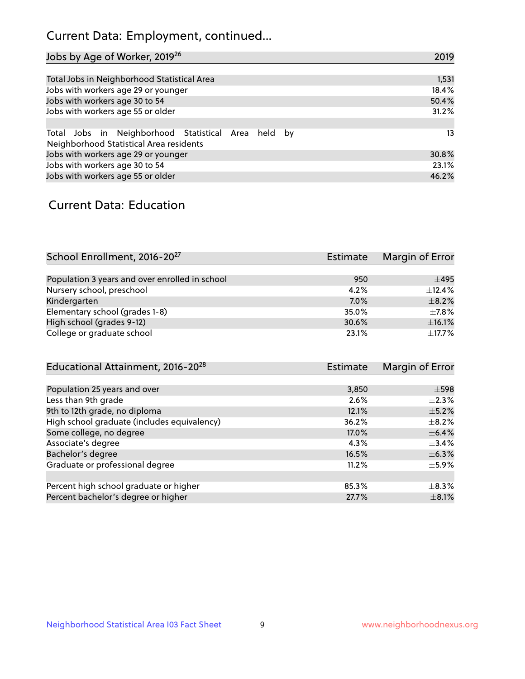## Current Data: Employment, continued...

| Jobs by Age of Worker, 2019 <sup>26</sup>                                                      | 2019  |
|------------------------------------------------------------------------------------------------|-------|
|                                                                                                |       |
| Total Jobs in Neighborhood Statistical Area                                                    | 1,531 |
| Jobs with workers age 29 or younger                                                            | 18.4% |
| Jobs with workers age 30 to 54                                                                 | 50.4% |
| Jobs with workers age 55 or older                                                              | 31.2% |
|                                                                                                |       |
| Total Jobs in Neighborhood Statistical Area held by<br>Neighborhood Statistical Area residents | 13    |
| Jobs with workers age 29 or younger                                                            | 30.8% |
| Jobs with workers age 30 to 54                                                                 | 23.1% |
| Jobs with workers age 55 or older                                                              | 46.2% |

### Current Data: Education

| School Enrollment, 2016-20 <sup>27</sup>       | <b>Estimate</b> | Margin of Error |
|------------------------------------------------|-----------------|-----------------|
|                                                |                 |                 |
| Population 3 years and over enrolled in school | 950             | $\pm$ 495       |
| Nursery school, preschool                      | 4.2%            | ±12.4%          |
| Kindergarten                                   | 7.0%            | $\pm$ 8.2%      |
| Elementary school (grades 1-8)                 | 35.0%           | $\pm$ 7.8%      |
| High school (grades 9-12)                      | 30.6%           | $\pm$ 16.1%     |
| College or graduate school                     | 23.1%           | $+17.7%$        |

| Educational Attainment, 2016-20 <sup>28</sup> | Estimate | Margin of Error |
|-----------------------------------------------|----------|-----------------|
|                                               |          |                 |
| Population 25 years and over                  | 3,850    | $\pm$ 598       |
| Less than 9th grade                           | 2.6%     | $\pm 2.3\%$     |
| 9th to 12th grade, no diploma                 | 12.1%    | $\pm$ 5.2%      |
| High school graduate (includes equivalency)   | 36.2%    | $\pm$ 8.2%      |
| Some college, no degree                       | 17.0%    | $\pm$ 6.4%      |
| Associate's degree                            | 4.3%     | $\pm$ 3.4%      |
| Bachelor's degree                             | 16.5%    | $\pm$ 6.3%      |
| Graduate or professional degree               | 11.2%    | $\pm$ 5.9%      |
|                                               |          |                 |
| Percent high school graduate or higher        | 85.3%    | $\pm$ 8.3%      |
| Percent bachelor's degree or higher           | 27.7%    | $\pm$ 8.1%      |
|                                               |          |                 |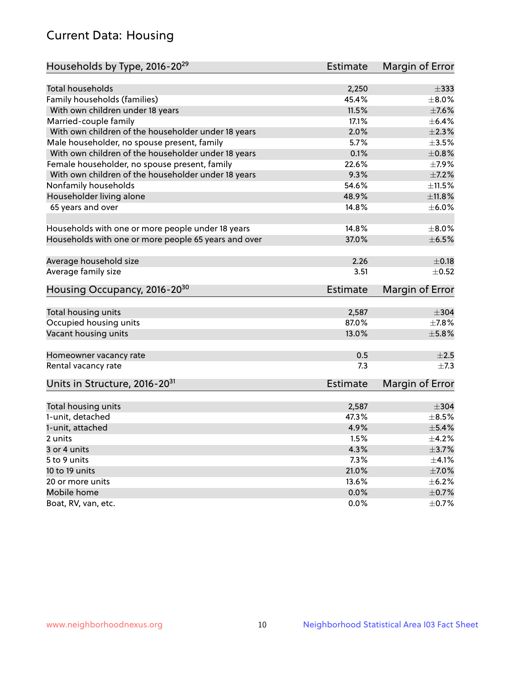## Current Data: Housing

| Households by Type, 2016-20 <sup>29</sup>            | <b>Estimate</b> | Margin of Error |
|------------------------------------------------------|-----------------|-----------------|
|                                                      |                 |                 |
| <b>Total households</b>                              | 2,250           | $\pm$ 333       |
| Family households (families)                         | 45.4%           | $\pm$ 8.0%      |
| With own children under 18 years                     | 11.5%           | $\pm$ 7.6%      |
| Married-couple family                                | 17.1%           | ±6.4%           |
| With own children of the householder under 18 years  | 2.0%            | $\pm 2.3\%$     |
| Male householder, no spouse present, family          | 5.7%            | $\pm 3.5\%$     |
| With own children of the householder under 18 years  | 0.1%            | $\pm 0.8\%$     |
| Female householder, no spouse present, family        | 22.6%           | $\pm$ 7.9%      |
| With own children of the householder under 18 years  | 9.3%            | $\pm$ 7.2%      |
| Nonfamily households                                 | 54.6%           | $\pm 11.5\%$    |
| Householder living alone                             | 48.9%           | ±11.8%          |
| 65 years and over                                    | 14.8%           | $\pm$ 6.0%      |
|                                                      |                 |                 |
| Households with one or more people under 18 years    | 14.8%           | $\pm$ 8.0%      |
| Households with one or more people 65 years and over | 37.0%           | $\pm$ 6.5%      |
| Average household size                               | 2.26            | $\pm$ 0.18      |
| Average family size                                  | 3.51            | $\pm$ 0.52      |
|                                                      |                 |                 |
| Housing Occupancy, 2016-20 <sup>30</sup>             | <b>Estimate</b> | Margin of Error |
| Total housing units                                  | 2,587           | $\pm$ 304       |
| Occupied housing units                               | 87.0%           | $\pm$ 7.8%      |
| Vacant housing units                                 | 13.0%           | $\pm$ 5.8%      |
|                                                      |                 |                 |
| Homeowner vacancy rate                               | 0.5             | $\pm 2.5$       |
| Rental vacancy rate                                  | 7.3             | $\pm$ 7.3       |
| Units in Structure, 2016-20 <sup>31</sup>            | <b>Estimate</b> | Margin of Error |
| Total housing units                                  | 2,587           | $\pm$ 304       |
| 1-unit, detached                                     | 47.3%           | $\pm$ 8.5%      |
| 1-unit, attached                                     | 4.9%            | $\pm$ 5.4%      |
| 2 units                                              | 1.5%            | $\pm$ 4.2%      |
| 3 or 4 units                                         | 4.3%            | $\pm$ 3.7%      |
| 5 to 9 units                                         | 7.3%            | $\pm 4.1\%$     |
| 10 to 19 units                                       | 21.0%           | $\pm$ 7.0%      |
|                                                      | 13.6%           |                 |
| 20 or more units                                     |                 | $\pm$ 6.2%      |
| Mobile home                                          | 0.0%            | $\pm$ 0.7%      |
| Boat, RV, van, etc.                                  | 0.0%            | $\pm$ 0.7%      |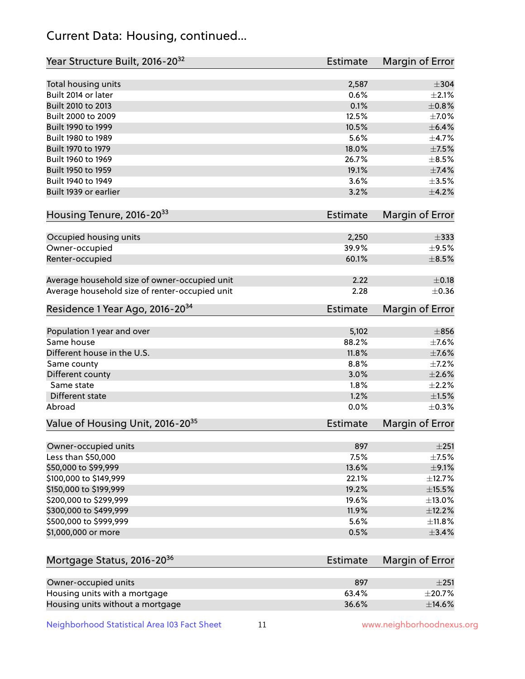## Current Data: Housing, continued...

| Year Structure Built, 2016-20 <sup>32</sup>    | <b>Estimate</b> | Margin of Error |
|------------------------------------------------|-----------------|-----------------|
| Total housing units                            | 2,587           | $\pm$ 304       |
| Built 2014 or later                            | 0.6%            | $\pm 2.1\%$     |
| Built 2010 to 2013                             | 0.1%            | $\pm 0.8\%$     |
| Built 2000 to 2009                             | 12.5%           | $\pm$ 7.0%      |
| Built 1990 to 1999                             | 10.5%           | $\pm$ 6.4%      |
| Built 1980 to 1989                             | 5.6%            | ±4.7%           |
| Built 1970 to 1979                             | 18.0%           | $\pm$ 7.5%      |
| Built 1960 to 1969                             | 26.7%           | $\pm$ 8.5%      |
| Built 1950 to 1959                             | 19.1%           | $\pm$ 7.4%      |
| Built 1940 to 1949                             | 3.6%            | $\pm 3.5\%$     |
| Built 1939 or earlier                          | 3.2%            | $\pm 4.2\%$     |
|                                                |                 |                 |
| Housing Tenure, 2016-2033                      | <b>Estimate</b> | Margin of Error |
| Occupied housing units                         | 2,250           | $\pm$ 333       |
| Owner-occupied                                 | 39.9%           | $\pm$ 9.5%      |
| Renter-occupied                                | 60.1%           | $\pm$ 8.5%      |
|                                                |                 |                 |
| Average household size of owner-occupied unit  | 2.22            | $\pm$ 0.18      |
| Average household size of renter-occupied unit | 2.28            | $\pm$ 0.36      |
| Residence 1 Year Ago, 2016-20 <sup>34</sup>    | <b>Estimate</b> | Margin of Error |
|                                                |                 |                 |
| Population 1 year and over                     | 5,102           | $\pm 856$       |
| Same house                                     | 88.2%           | $\pm$ 7.6%      |
| Different house in the U.S.                    | 11.8%           | $\pm$ 7.6%      |
| Same county                                    | 8.8%            | $\pm$ 7.2%      |
| Different county                               | 3.0%            | $\pm 2.6\%$     |
| Same state                                     | 1.8%            | $\pm 2.2\%$     |
| <b>Different state</b>                         | 1.2%            | $\pm1.5\%$      |
| Abroad                                         | 0.0%            | $\pm$ 0.3%      |
| Value of Housing Unit, 2016-20 <sup>35</sup>   | <b>Estimate</b> | Margin of Error |
| Owner-occupied units                           | 897             | ±251            |
| Less than \$50,000                             | 7.5%            | $\pm$ 7.5%      |
| \$50,000 to \$99,999                           | 13.6%           | $\pm$ 9.1%      |
| \$100,000 to \$149,999                         | 22.1%           | ±12.7%          |
| \$150,000 to \$199,999                         | 19.2%           | $\pm$ 15.5%     |
| \$200,000 to \$299,999                         | 19.6%           | $\pm$ 13.0%     |
| \$300,000 to \$499,999                         | 11.9%           | ±12.2%          |
| \$500,000 to \$999,999                         | 5.6%            | ±11.8%          |
| \$1,000,000 or more                            | 0.5%            | ±3.4%           |
|                                                |                 |                 |
| Mortgage Status, 2016-20 <sup>36</sup>         | <b>Estimate</b> | Margin of Error |
|                                                |                 |                 |
| Owner-occupied units                           | 897             | $\pm 251$       |
| Housing units with a mortgage                  | 63.4%           | $\pm 20.7\%$    |
| Housing units without a mortgage               | 36.6%           | ±14.6%          |

Neighborhood Statistical Area I03 Fact Sheet 11 11 www.neighborhoodnexus.org

Housing units without a mortgage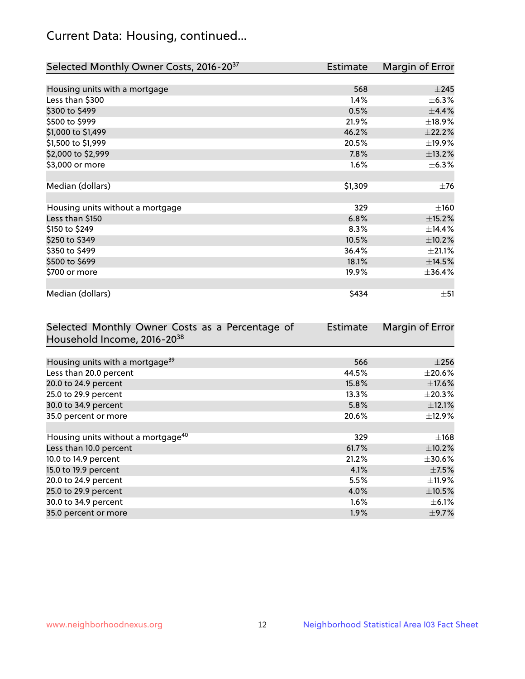## Current Data: Housing, continued...

| Selected Monthly Owner Costs, 2016-20 <sup>37</sup> | Estimate | Margin of Error |
|-----------------------------------------------------|----------|-----------------|
|                                                     |          |                 |
| Housing units with a mortgage                       | 568      | $\pm 245$       |
| Less than \$300                                     | 1.4%     | $\pm$ 6.3%      |
| \$300 to \$499                                      | 0.5%     | ±4.4%           |
| \$500 to \$999                                      | 21.9%    | ±18.9%          |
| \$1,000 to \$1,499                                  | 46.2%    | $\pm 22.2\%$    |
| \$1,500 to \$1,999                                  | 20.5%    | ±19.9%          |
| \$2,000 to \$2,999                                  | 7.8%     | ±13.2%          |
| \$3,000 or more                                     | 1.6%     | $\pm$ 6.3%      |
|                                                     |          |                 |
| Median (dollars)                                    | \$1,309  | $\pm$ 76        |
|                                                     |          |                 |
| Housing units without a mortgage                    | 329      | $\pm 160$       |
| Less than \$150                                     | 6.8%     | $\pm$ 15.2%     |
| \$150 to \$249                                      | 8.3%     | ±14.4%          |
| \$250 to \$349                                      | 10.5%    | $\pm$ 10.2%     |
| \$350 to \$499                                      | 36.4%    | $\pm 21.1\%$    |
| \$500 to \$699                                      | 18.1%    | ±14.5%          |
| \$700 or more                                       | 19.9%    | ±36.4%          |
|                                                     |          |                 |
| Median (dollars)                                    | \$434    | $\pm 51$        |

| Selected Monthly Owner Costs as a Percentage of | <b>Estimate</b> | Margin of Error |
|-------------------------------------------------|-----------------|-----------------|
| Household Income, 2016-20 <sup>38</sup>         |                 |                 |
|                                                 |                 |                 |
| Housing units with a mortgage <sup>39</sup>     | 566             | $\pm 256$       |
| Less than 20.0 percent                          | 44.5%           | $\pm 20.6\%$    |
| 20.0 to 24.9 percent                            | 15.8%           | $\pm$ 17.6%     |
| 25.0 to 29.9 percent                            | 13.3%           | $\pm 20.3\%$    |
| 30.0 to 34.9 percent                            | 5.8%            | $\pm$ 12.1%     |
| 35.0 percent or more                            | 20.6%           | $\pm$ 12.9%     |
|                                                 |                 |                 |
| Housing units without a mortgage <sup>40</sup>  | 329             | $\pm$ 168       |
| Less than 10.0 percent                          | 61.7%           | $\pm$ 10.2%     |
| 10.0 to 14.9 percent                            | 21.2%           | $\pm 30.6\%$    |
| 15.0 to 19.9 percent                            | 4.1%            | $\pm$ 7.5%      |
| 20.0 to 24.9 percent                            | 5.5%            | $\pm$ 11.9%     |
| 25.0 to 29.9 percent                            | 4.0%            | $\pm$ 10.5%     |
| 30.0 to 34.9 percent                            | $1.6\%$         | $\pm$ 6.1%      |
| 35.0 percent or more                            | 1.9%            | $\pm$ 9.7%      |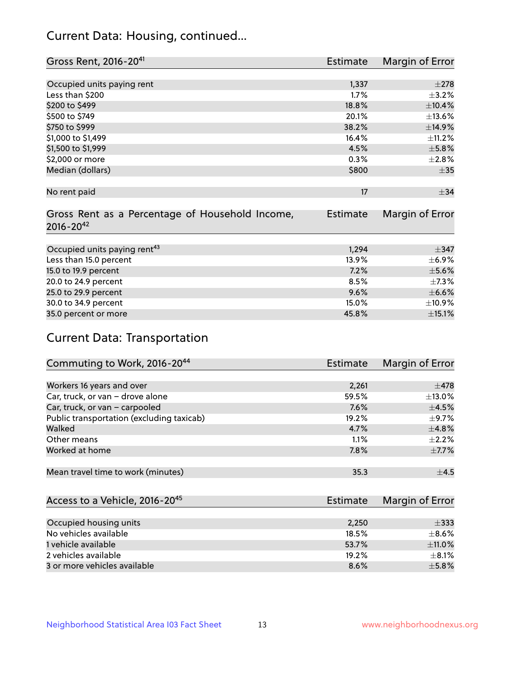## Current Data: Housing, continued...

| Gross Rent, 2016-20 <sup>41</sup>               | <b>Estimate</b> | Margin of Error |
|-------------------------------------------------|-----------------|-----------------|
|                                                 |                 |                 |
| Occupied units paying rent                      | 1,337           | $\pm 278$       |
| Less than \$200                                 | 1.7%            | $\pm$ 3.2%      |
| \$200 to \$499                                  | 18.8%           | $\pm$ 10.4%     |
| \$500 to \$749                                  | 20.1%           | ±13.6%          |
| \$750 to \$999                                  | 38.2%           | ±14.9%          |
| \$1,000 to \$1,499                              | 16.4%           | ±11.2%          |
| \$1,500 to \$1,999                              | 4.5%            | $\pm$ 5.8%      |
| \$2,000 or more                                 | 0.3%            | ±2.8%           |
| Median (dollars)                                | \$800           | $\pm$ 35        |
|                                                 |                 |                 |
| No rent paid                                    | 17              | $\pm$ 34        |
|                                                 |                 |                 |
| Gross Rent as a Percentage of Household Income, | <b>Estimate</b> | Margin of Error |
| $2016 - 20^{42}$                                |                 |                 |
|                                                 |                 |                 |
| Occupied units paying rent <sup>43</sup>        | 1,294           | $\pm$ 347       |
| Less than 15.0 percent                          | 13.9%           | $\pm$ 6.9%      |
| 15.0 to 19.9 percent                            | 7.2%            | $\pm$ 5.6%      |
| 20.0 to 24.9 percent                            | 8.5%            | $\pm$ 7.3%      |
| 25.0 to 29.9 percent                            | 9.6%            | $\pm$ 6.6%      |
| 30.0 to 34.9 percent                            | 15.0%           | $\pm$ 10.9%     |
| 35.0 percent or more                            | 45.8%           | $\pm$ 15.1%     |

# Current Data: Transportation

| Commuting to Work, 2016-20 <sup>44</sup>  | Estimate | Margin of Error |
|-------------------------------------------|----------|-----------------|
|                                           |          |                 |
| Workers 16 years and over                 | 2,261    | $\pm$ 478       |
| Car, truck, or van - drove alone          | 59.5%    | $\pm$ 13.0%     |
| Car, truck, or van - carpooled            | 7.6%     | $\pm$ 4.5%      |
| Public transportation (excluding taxicab) | 19.2%    | $\pm$ 9.7%      |
| Walked                                    | 4.7%     | ±4.8%           |
| Other means                               | 1.1%     | $\pm 2.2\%$     |
| Worked at home                            | 7.8%     | $\pm$ 7.7%      |
|                                           |          |                 |
| Mean travel time to work (minutes)        | 35.3     | ±4.5            |

| Access to a Vehicle, 2016-20 <sup>45</sup> | <b>Estimate</b> | Margin of Error |
|--------------------------------------------|-----------------|-----------------|
|                                            |                 |                 |
| Occupied housing units                     | 2,250           | $\pm$ 333       |
| No vehicles available                      | 18.5%           | $\pm$ 8.6%      |
| 1 vehicle available                        | 53.7%           | ±11.0%          |
| 2 vehicles available                       | 19.2%           | $+8.1%$         |
| 3 or more vehicles available               | 8.6%            | $+5.8%$         |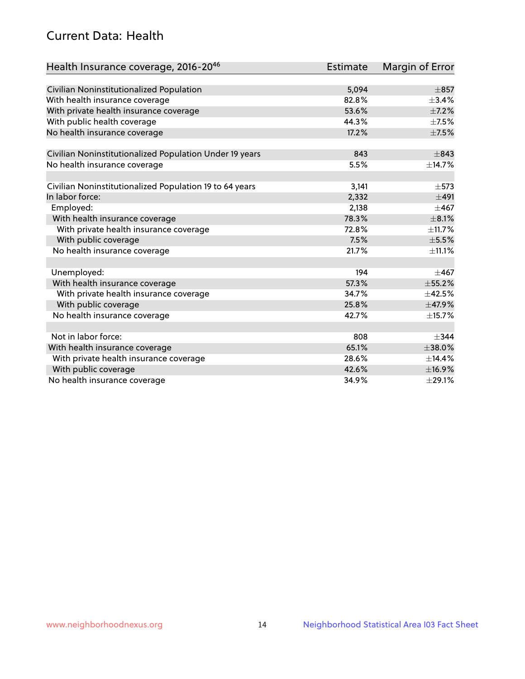## Current Data: Health

| Health Insurance coverage, 2016-2046                    | <b>Estimate</b> | Margin of Error |
|---------------------------------------------------------|-----------------|-----------------|
|                                                         |                 |                 |
| Civilian Noninstitutionalized Population                | 5,094           | $\pm$ 857       |
| With health insurance coverage                          | 82.8%           | $\pm$ 3.4%      |
| With private health insurance coverage                  | 53.6%           | $\pm$ 7.2%      |
| With public health coverage                             | 44.3%           | $\pm$ 7.5%      |
| No health insurance coverage                            | 17.2%           | $\pm$ 7.5%      |
| Civilian Noninstitutionalized Population Under 19 years | 843             | $\pm$ 843       |
| No health insurance coverage                            | 5.5%            | ±14.7%          |
|                                                         |                 |                 |
| Civilian Noninstitutionalized Population 19 to 64 years | 3,141           | $\pm$ 573       |
| In labor force:                                         | 2,332           | $\pm 491$       |
| Employed:                                               | 2,138           | $\pm 467$       |
| With health insurance coverage                          | 78.3%           | $\pm$ 8.1%      |
| With private health insurance coverage                  | 72.8%           | ±11.7%          |
| With public coverage                                    | 7.5%            | $\pm$ 5.5%      |
| No health insurance coverage                            | 21.7%           | ±11.1%          |
|                                                         |                 |                 |
| Unemployed:                                             | 194             | $\pm 467$       |
| With health insurance coverage                          | 57.3%           | $\pm$ 55.2%     |
| With private health insurance coverage                  | 34.7%           | $\pm$ 42.5%     |
| With public coverage                                    | 25.8%           | ±47.9%          |
| No health insurance coverage                            | 42.7%           | ±15.7%          |
|                                                         |                 |                 |
| Not in labor force:                                     | 808             | $+344$          |
| With health insurance coverage                          | 65.1%           | $\pm 38.0\%$    |
| With private health insurance coverage                  | 28.6%           | ±14.4%          |
| With public coverage                                    | 42.6%           | ±16.9%          |
| No health insurance coverage                            | 34.9%           | $\pm 29.1\%$    |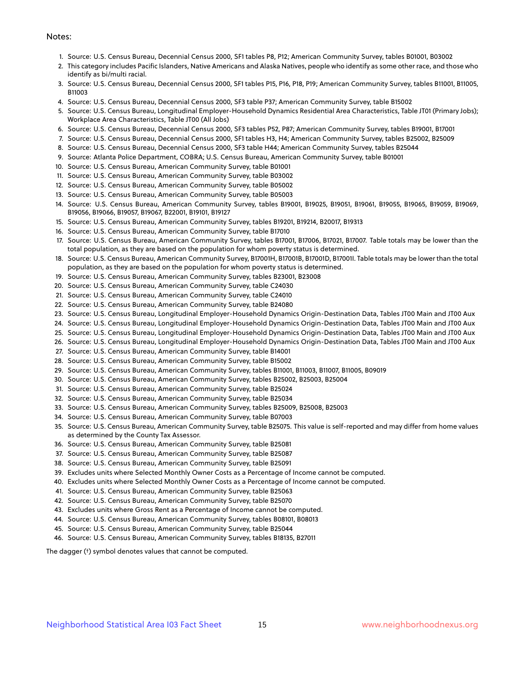#### Notes:

- 1. Source: U.S. Census Bureau, Decennial Census 2000, SF1 tables P8, P12; American Community Survey, tables B01001, B03002
- 2. This category includes Pacific Islanders, Native Americans and Alaska Natives, people who identify as some other race, and those who identify as bi/multi racial.
- 3. Source: U.S. Census Bureau, Decennial Census 2000, SF1 tables P15, P16, P18, P19; American Community Survey, tables B11001, B11005, B11003
- 4. Source: U.S. Census Bureau, Decennial Census 2000, SF3 table P37; American Community Survey, table B15002
- 5. Source: U.S. Census Bureau, Longitudinal Employer-Household Dynamics Residential Area Characteristics, Table JT01 (Primary Jobs); Workplace Area Characteristics, Table JT00 (All Jobs)
- 6. Source: U.S. Census Bureau, Decennial Census 2000, SF3 tables P52, P87; American Community Survey, tables B19001, B17001
- 7. Source: U.S. Census Bureau, Decennial Census 2000, SF1 tables H3, H4; American Community Survey, tables B25002, B25009
- 8. Source: U.S. Census Bureau, Decennial Census 2000, SF3 table H44; American Community Survey, tables B25044
- 9. Source: Atlanta Police Department, COBRA; U.S. Census Bureau, American Community Survey, table B01001
- 10. Source: U.S. Census Bureau, American Community Survey, table B01001
- 11. Source: U.S. Census Bureau, American Community Survey, table B03002
- 12. Source: U.S. Census Bureau, American Community Survey, table B05002
- 13. Source: U.S. Census Bureau, American Community Survey, table B05003
- 14. Source: U.S. Census Bureau, American Community Survey, tables B19001, B19025, B19051, B19061, B19055, B19065, B19059, B19069, B19056, B19066, B19057, B19067, B22001, B19101, B19127
- 15. Source: U.S. Census Bureau, American Community Survey, tables B19201, B19214, B20017, B19313
- 16. Source: U.S. Census Bureau, American Community Survey, table B17010
- 17. Source: U.S. Census Bureau, American Community Survey, tables B17001, B17006, B17021, B17007. Table totals may be lower than the total population, as they are based on the population for whom poverty status is determined.
- 18. Source: U.S. Census Bureau, American Community Survey, B17001H, B17001B, B17001D, B17001I. Table totals may be lower than the total population, as they are based on the population for whom poverty status is determined.
- 19. Source: U.S. Census Bureau, American Community Survey, tables B23001, B23008
- 20. Source: U.S. Census Bureau, American Community Survey, table C24030
- 21. Source: U.S. Census Bureau, American Community Survey, table C24010
- 22. Source: U.S. Census Bureau, American Community Survey, table B24080
- 23. Source: U.S. Census Bureau, Longitudinal Employer-Household Dynamics Origin-Destination Data, Tables JT00 Main and JT00 Aux
- 24. Source: U.S. Census Bureau, Longitudinal Employer-Household Dynamics Origin-Destination Data, Tables JT00 Main and JT00 Aux
- 25. Source: U.S. Census Bureau, Longitudinal Employer-Household Dynamics Origin-Destination Data, Tables JT00 Main and JT00 Aux
- 26. Source: U.S. Census Bureau, Longitudinal Employer-Household Dynamics Origin-Destination Data, Tables JT00 Main and JT00 Aux
- 27. Source: U.S. Census Bureau, American Community Survey, table B14001
- 28. Source: U.S. Census Bureau, American Community Survey, table B15002
- 29. Source: U.S. Census Bureau, American Community Survey, tables B11001, B11003, B11007, B11005, B09019
- 30. Source: U.S. Census Bureau, American Community Survey, tables B25002, B25003, B25004
- 31. Source: U.S. Census Bureau, American Community Survey, table B25024
- 32. Source: U.S. Census Bureau, American Community Survey, table B25034
- 33. Source: U.S. Census Bureau, American Community Survey, tables B25009, B25008, B25003
- 34. Source: U.S. Census Bureau, American Community Survey, table B07003
- 35. Source: U.S. Census Bureau, American Community Survey, table B25075. This value is self-reported and may differ from home values as determined by the County Tax Assessor.
- 36. Source: U.S. Census Bureau, American Community Survey, table B25081
- 37. Source: U.S. Census Bureau, American Community Survey, table B25087
- 38. Source: U.S. Census Bureau, American Community Survey, table B25091
- 39. Excludes units where Selected Monthly Owner Costs as a Percentage of Income cannot be computed.
- 40. Excludes units where Selected Monthly Owner Costs as a Percentage of Income cannot be computed.
- 41. Source: U.S. Census Bureau, American Community Survey, table B25063
- 42. Source: U.S. Census Bureau, American Community Survey, table B25070
- 43. Excludes units where Gross Rent as a Percentage of Income cannot be computed.
- 44. Source: U.S. Census Bureau, American Community Survey, tables B08101, B08013
- 45. Source: U.S. Census Bureau, American Community Survey, table B25044
- 46. Source: U.S. Census Bureau, American Community Survey, tables B18135, B27011

The dagger (†) symbol denotes values that cannot be computed.